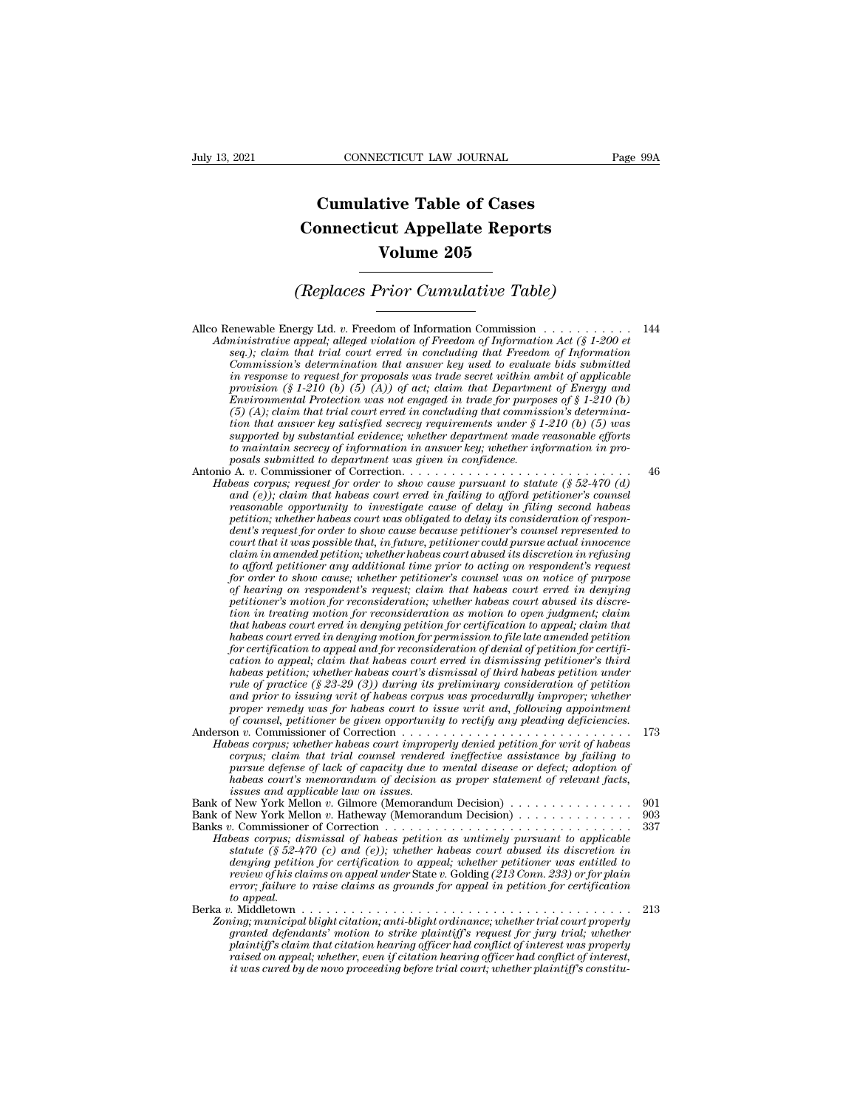## **CONNECTICUT LAW JOURNAL**<br> **Cumulative Table of Cases<br>
pnnecticut Appellate Reports CONNECTICUT LAW JOURNAL** Pa<br> **Cumulative Table of Cases**<br> **Connecticut Appellate Reports**<br> **Volume 205 ECTICUT LAW JOURNAL**<br> **Volume 205**<br> **Volume 205**<br> **Volume 205**<br> **Prior Cumulative Table) Cumulative Table of Cases<br>
Connecticut Appellate Reports<br>
Volume 205<br>
(Replaces Prior Cumulative Table)**<br>
Travel td. *x*. Freedom of Information Commission

Allco Renewable Energy Ltd. *<sup>v</sup>*. Freedom of Information Commission . . . . . . . . . . . <sup>144</sup> *Administrative appearing appearing appearing appearing appearing appearing appearing appearing appearing appearing appearing appearing appearing the seq.); claim that trial court error in concluding that Freedom of Inform seq.); compared in compared in commission*<br>*seq.); claim that trial court erred in concluding that Freedom of Information Act (§ 1-200 et*<br>*seq.); claim that trial court erred in concluding that Freedom of Information*<br>*c Commission:* Cumulative Table)<br> **Commission**<br> *Commission* interpreted to evaluate bids and the subministrative appeal; alleged violation of Freedom of Information Act (§ 1-200 et seq.); claim that trial court erred in c *in reponsion (Replaces Prior Cumulative Table)*<br>*in regions among that v.* Freedom of Information Commission  $\ldots$   $\ldots$   $\ldots$   $\ldots$  144<br>*Administrative appeal; alleged violation of Freedom of Information Act (§ 1-200 et* **provided** Energy Ltd. v. Freedom of Information Commission  $\ldots$  (§ 1-200 et seq.); claim that trial court erred in concluding that Freedom of Information Act (§ 1-200 et seq.); claim that trial court erred in concluding Enewable Energy Ltd. v. Freedom of Information Commission  $\ldots$   $\ldots$   $\ldots$   $\ldots$  144<br>*Ininistrative appeal; alleged violation of Freedom of Information Act (§ 1-200 et*<br>*seq.); claim that trial court erred in concluding* enewable Energy Ltd. v. Freedom of Information Commission  $\ldots \ldots$ <br>
ministrative appeal; alleged violation of Freedom of Information Act (§ 1-200 et<br>
seq.); claim that trial court erred in concluding that Freedom of Infor *that answer appeal; alleged violation of Freedom of Information Act (§ 1-200 et* seq.); claim that trial court erred in concluding that Freedom of Information changes in  $\alpha$  is a secrecy required commission's determinat *seq.); claim that trial court erred in concluding that Freedom of Information*<br>Commission's determination that answer key used to evaluate bids submitted<br>in response to request for proposals was trade secret within ambit *Commission's determination that answer key used to evaluate bids submitted*<br>in response to request for proposals was trade secret within ambit of applicable<br>provision (§ 1-210 (b) (5) (A); of act; claim that Department of *posity in response to request for proposals was trade secret within an provision (§ 1-210 (b) (5) (A)) of act; claim that Department Protection was not engaged in trade for purposition that answer key satisfied secrecy r* provision (§ 1-210 (b) (b) (a)) of act; claim that Department of Energy and<br>Environmental Protection was not engaged in trade for purposes of § 1-210 (b)<br>(5) (A); claim that trial court erred in concluding that commission (5) (A); claim that trial court erred in concluding that commission's determina-<br>tion that answer key satisfied secrecy requirements under § 1-210 (b) (5) was<br>supported by substantial evidence; whether department made rea

(5) (A); claim that trial court erred in concluding that commission's determination that answer key satisfied secrecy requirements under  $\S 1-210$  (b) (5) was supported by substantial evidence; whether department made rea *reasonable opportunity to investigate secrecy requirements under \secondble offorts* supported by substantial evidence; whether department made reasonable efforts to maintain secrecy of information in answer key; whether *periorial by substantial evidence; whether department made reasonable efforts* to maintain secrecy of information in answer key; whether information in pro-<br>posals submitted to department was given in confidence.<br>  $\rho$  A. *dent's request for order to show cause because petitioner's counsel represented to court that it was possible that, in future, petitioner could pursue actual innocence claim in amended petition; whether habeas court abused its discretion in refusing to afford perimal to afford perimential to statute (§ 52-470 (d)* and (e)); claim that habeas court erred in failing to afford petitioner's counsel reasonable opportunity to investigate cause of delay in filing second hab and (e)); claim that habeas court erred in jailing to afford petitioner's counsel<br>reasonable opportunity to investigate cause of delay in filing second habeas<br>petition; whether habeas court was obligated to delay its consi *reasonable opportunity to investigate cause of delay in filing second habeas*<br>petition; whether habeas court was obligated to delay its consideration of respondent's request for order to show cause because petitioner coul petition; whether habeas court was obligated to delay its consideration of respondent's request for order to show cause because petitioner's counsel represented to court that it was possible that, in future, petitioner cou *tent's request for order to show cause because petitioner's counsel represented to*<br>court that it was possible that, in future, petitioner could pursue actual innocence<br>claim in amended petition; whether habeas court dous *tourt that it was possible that, in juture, petitioner could pursue actual innocence*<br>claim in amended petition; whether habeas court abused its discretion in refusing<br>to afford petitioner any additional time prior to act *claim in amended petition; whether habeas court abused its discretion in refusing*<br>to afford petitioner any additional time prior to acting on respondent's request<br>of norder to show cause; whether petitioner's coursel was *for condertian of petitioner any additional time prior to acting on respondent's request for order to show cause; whether petitioner's counsel was on notice of purpose of hearing on respondent's request; claim that habeas for order to show cause; whether petitioner's counsel was on notice of purpose* of hearing on respondent's request; claim that habeas court erred in denying petitioner's motion for reconsideration; whether habeas court ab *of hearing on respondent's request; claim that habeas court erred in denying petitioner's motion for reconsideration; whether habeas court abused its discretion in treating motion for reconsideration as motion to open jud* petitioner's motion for reconsideration; whether habeas court abused its discretion in treating motion for reconsideration as motion to open judgment; claim that habeas court erred in denying petition for certification to *and in treating motion for reconsideration as motion to open judgment; claim* that habeas court erred in denying petition for certification to appeal; claim that habeas court erred in denying motion for permission to file *proper remed in denying petition for certification to appeal; claim that* habeas court erred in denying motion for permission to file late amended petition for habeas court erred in dismissing petitioner's third cation to *habeas court erred in denying motion for permission to file late amended petition for certification to appeal and for reconsideration of denial of petition for certification to appeal, claim thabeas court erred in dismiss* for certification to appeal and for reconsideration of denial of petition for certification to appeal; claim that habeas court erred in dismissing petitioner's third habeas correction; whether habeas court's dismissed of t *Cation to appeal; claim that habeas court erred in dismissing petitioner's third habeas petition, whether habeas court's dismissal of third habeas petition rate of pactice (\$ 23-29 (3) during its preliminary consideration corpus; claim that trial counsel as court's dismissal of third habeas petition under*<br>rule of practice (§ 23-29 (3)) during its preliminary consideration of petition<br>and prior to issuing writ of habeas corpus was procedur

*pule of practice* (§ 23-29 (3)) during its preliminary consideration of petition<br>and prior to issuing writ of habeas corpus was procedurally improper; whether<br>proper renedy was for habeas court to issue writ and, followin and proor to issuing writ of habeas corpus was procedurally improper; whether<br>proper remedy was for habeas court to issue writ and, following appointment<br>of counsel, petitioner be given opportunity to rectify any pleading *proper remedy was for habeas court to is*<br>*of counsel, petitioner be given opportunity*<br>*beas corpus; whether labeas court improper*<br>*corpus; chether labeas court improper*<br>*corpus; claim that trial counsel renderer<br>pursu* Bank of New York Mellon *<sup>v</sup>*. Gilmore (Memorandum Decision) . . . . . . . . . . . . . . . <sup>901</sup> Bank of New York Mellon *<sup>v</sup>*. Hatheway (Memorandum Decision) . . . . . . . . . . . . . . <sup>903</sup> Habeas corpus; whether habeas court improperty denied petition for writ of habeas<br>
corpus; claim that trial counsel rendered ineffective assistance by failing to<br>
pursue defense of lack of capacity due to mental disease or

| corpus; claim that trial counsel rendered ineffective assistance by failing to<br>pursue defense of lack of capacity due to mental disease or defect; adoption of<br>habeas court's memorandum of decision as proper statement of relevant facts, |       |  |
|---------------------------------------------------------------------------------------------------------------------------------------------------------------------------------------------------------------------------------------------------|-------|--|
| issues and applicable law on issues.                                                                                                                                                                                                              |       |  |
| Bank of New York Mellon v. Gilmore (Memorandum Decision)                                                                                                                                                                                          | -901  |  |
| Bank of New York Mellon v. Hatheway (Memorandum Decision)                                                                                                                                                                                         | -903  |  |
| Banks v. Commissioner of Correction $\dots \dots \dots \dots \dots \dots \dots \dots \dots \dots \dots \dots$                                                                                                                                     | - 337 |  |
| Habeas corpus; dismissal of habeas petition as untimely pursuant to applicable                                                                                                                                                                    |       |  |
| statute (§ 52-470 (c) and (e)); whether habeas court abused its discretion in                                                                                                                                                                     |       |  |
| denying petition for certification to appeal; whether petitioner was entitled to                                                                                                                                                                  |       |  |
| review of his claims on appeal under State v. Golding (213 Conn. 233) or for plain                                                                                                                                                                |       |  |
| error; failure to raise claims as grounds for appeal in petition for certification                                                                                                                                                                |       |  |
| to appeal.                                                                                                                                                                                                                                        |       |  |
|                                                                                                                                                                                                                                                   |       |  |
| Zoning; municipal blight citation; anti-blight ordinance; whether trial court properly                                                                                                                                                            |       |  |
| <i>compared defendants' motion to strike plaintiff's request for jury trial: whether</i>                                                                                                                                                          |       |  |

| Habeas corpus; dismissal of habeas petition as untimely pursuant to applicable         |     |
|----------------------------------------------------------------------------------------|-----|
| statute (§ 52-470 (c) and (e)); whether habeas court abused its discretion in          |     |
| denying petition for certification to appeal; whether petitioner was entitled to       |     |
| review of his claims on appeal under State v. Golding (213 Conn. 233) or for plain     |     |
| error; failure to raise claims as grounds for appeal in petition for certification     |     |
| to appeal.                                                                             |     |
| Berka v. Middletown                                                                    | 213 |
| Zoning; municipal blight citation; anti-blight ordinance; whether trial court properly |     |
| granted defendants' motion to strike plaintiff's request for jury trial; whether       |     |
| plaintiff's claim that citation hearing officer had conflict of interest was properly  |     |
| raised on appeal; whether, even if citation hearing officer had conflict of interest,  |     |
| it was cured by de novo proceeding before trial court; whether plaintiff's constitu-   |     |
|                                                                                        |     |
|                                                                                        |     |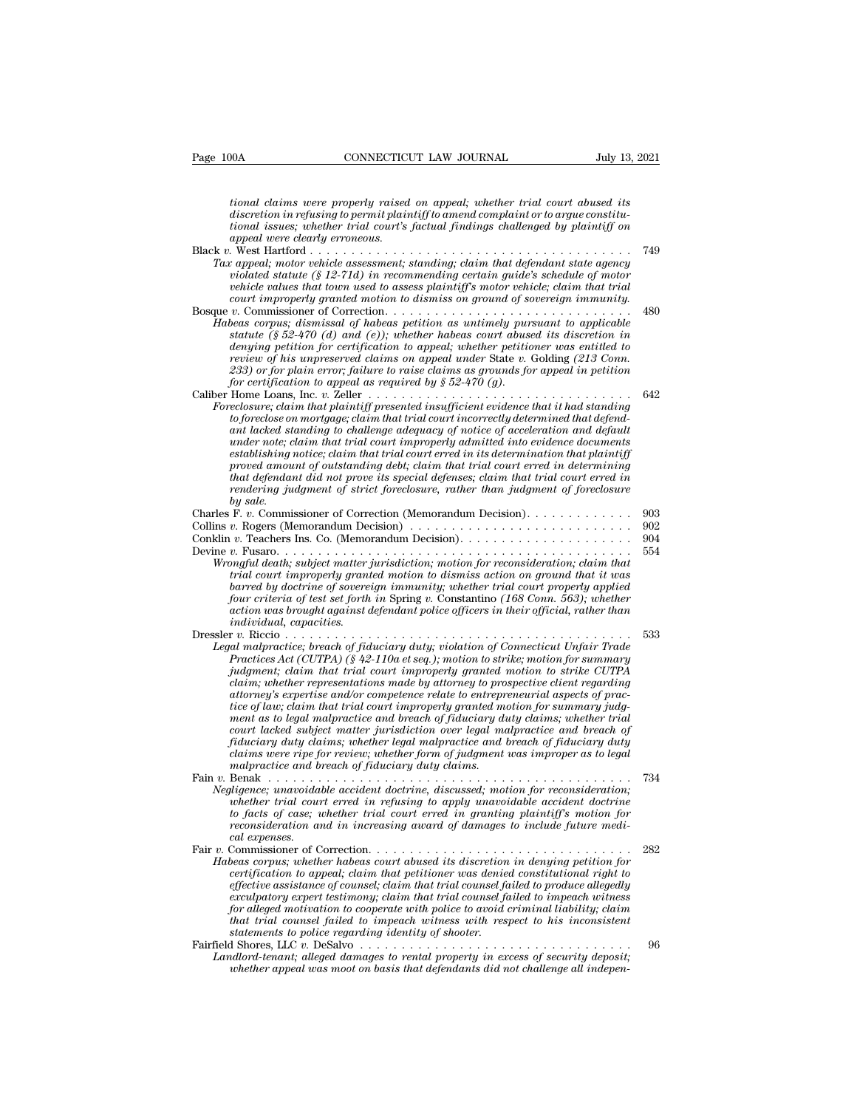*tional claims were properly raised on appeal; whether trial court abused its discretional claims were properly raised on appeal; whether trial court abused its*<br>discretion in refusing to permit plaintiff to amend complaint or to argue constitu-<br>tional issues; whether trial court's factual findings *tional claims were properly raised on appeal; whether trial court abused its*<br>*tional claims were properly raised on appeal; whether trial court abused its*<br>*discretion in refusing to permit plaintiff to amend complaint o appeal were clearly erroneous.* tional claims were properly raised on appeal; whether trial court abused its<br>discretion in refusing to permit plaintiff to amend complaint or to argue constitu-<br>tional issues; whether trial court's factual findings challen *Tax appearing to permit plaintiff to amend complaint or to argue constitutional issues; whether trial court's factual findings challenged by plaintiff on appeal were clearly erroneous.*<br> *Tax appeal, motor vehicle assessm vional claims were properly raised on appeal; whether trial court abused its*<br>*discretion in refusing to permit plaintiff to amend complaint or to argue constitu-<br>tional issues; whether trial court's factual findings chal vehicle in in refusing to permit plaintiff to amend complaint or to argue constitu-<br>discretion in refusing to permit plaintiff to amend complaint or to argue constitu-<br>topnal issues; whether trial court's factual findings complear in regularing to permit planntyf to amend compleant or to argue constitutional issues; whether trial court's factual findings challenged by plaintiff on appeal were clearly erroneous.<br> comparison to the source o* Bosque *<sup>v</sup>*. Commissioner of Correction. . . . . . . . . . . . . . . . . . . . . . . . . . . . . . <sup>480</sup> *Habeas corpus; dismissal of habeas petition as untimely pursuant to a left habeas periodical statute (§ 12-71d) in recommending crtain guide's schedule of motor vehicle values that town used to assess plaintiff's motor ve statute (§ 52-470 (d) and (e)); whether habeas court abused its discretion in denying motor venicle assessment; standing; claim that defendant state agency<br>violated statute (§ 12-71d) in recommending certain guide's schedule of motor<br>vehicle values that town used to assess plaintiff's motor vehicle review of his unpreserved to assess plaintiff's motor vehicle values in a tracticle values that trial*<br> *court improperly granted notion to dismiss on ground of sovereign immunity.*<br> *v.* Commissioner of Correction  $\ldots \ld$ *233) or for plain error; failure to raise claims as grounds for appeal in petition for certification to appeal as required by § 52-470 (g).* Caliber Home Loans, Inc. *v.* Zeller . . . . . . . . . . . . . . . . . . . . . . . . . . . . . . . . <sup>642</sup> *Fracelosure; claim that*  $(f \ S2+470)$  *and*  $f(e)$ *); whether habeas court abused its discretion in denying petition for certification to appeal; whether petitioner was entitled to review of his unpreserved claims on appeal un to foreclose on the forecal court above on the trial court above of his unpreserved claims on appeal, whether petitioner was entitled to review of his unpreserved claims on appeal under State v. Golding (213 Conn.*<br> *to 2 denying petition for certification to appeal; whether petitioner was entitled to*<br>*review of his unpreserved claims on appeal under* State v. Golding (213 Conn.<br>233) or for plain error; failure to raise claims as grounds *review of nis unpreserved claims on appeal under State v. Golding (213 Conn.*<br>
233) or for plain error; failure to raise claims as grounds for appeal in petition<br>
for certification to appeal as required by  $\S 52-470$  (g). *establishing notice; claim that trial court erred in its determination that plaintiff proverty promount to appeal as required by § 52-470 (g).*<br>
Home Loans, Inc. v. Zeller  $\ldots \ldots \ldots \ldots \ldots \ldots$  is the colosive; claim that plaintiff presented insufficient evidence that it had standing<br>
to foreclose on mortga *that defendant did not prove its special defenses; claim that trial court erred in reclosure, claim that plaintiff presented insufficient evidence that it had standing*<br>to foreclose on mortgage; claim that trial court incorrectly determined that defend-<br>ant lacked standing to challenge adequacy of notic *by preciose on*<br> *bunder note; c.<br>
under note; c.<br>
establishing 1<br>
proved amou<br>
that defendar<br>
rendering ju.<br>
F. v. Commis<br>
r. P. Oders (Mark)* ant tacked standary to challenge daequacy of notice of acceleration and aefault<br>under note; claim that trial court improperly admitted into evidence documents<br>establishing notice; claim that trial court erred in determinin mater note; claim that trial court improperty damitted this determination that plaintiff<br>establishing notice; claim that trial court erred in distelermination that plaintiff<br>proved amount of outstanding debt; claim that tr Exposed amount of outstanding debt; claim that tried in a court erred in determining<br>proved amount of outstanding debt; claim that trial court erred in<br>that defendant did not prove its special defenses; claim that trial co Frocet unional of strainaring users, calculated rest is pecial defenses; claim that trial court erred in<br>that defendant did not prove its special defenses; claim that trial court erred in<br>rendering judgment of strict forec *Wrongful death; subject matter jurisdiction; motion for reconsideration; claim that trial court improperly granted motion to dismiss action on ground that it was barred by doctrine of sovereign immunity; whether trial court properly applied four criteria of test set forth in* Spring *v.* Constantino *(168 Conn. 563); whether action was been member against defendant policing member against a policers ins.* Co. (Memorandum Decision).<br> *action was barea was been metal death; subject matter jurisdiction; motion for reconsideration; claim that*<br> *individual, capacities.* Dressler *v.* Riccio . . . . . . . . . . . . . . . . . . . . . . . . . . . . . . . . . . . . . . . . . . <sup>533</sup> *Legal malproperly granter jurisdiction; motion for reconsideration; claim that* trial court improperly granted motion to dismiss action on ground that it was barred by doctrine of sovereign immunity; whether trial court p *Practices Act (PTPA) Practices Act (PTPA) Practices Actom on ground that it was part criteria of etst forth in Spring v. Constantino (168 Conn. 563); whether action was brought against defendant police officers in t jumenta by accrime of sovereign immunity; whether trial court properly applied* four criteria of test set forth in Spring v. Constantino (168 Conn. 563); whether action was brought against defendant police officers in the *commienting to the stations made by attorney at their official, rather findividual, capacition was brought against defendant police officers in their official, rather than individual, capacities.<br>
<i>r* v. Riccio . . . . . *attorney's expertise and/or competence relate to entrepreneurial aspects of praction trial conduction*<br> *time almapractice of fiduciary duty; violation of Connecticut Unfair Trade<br>
almapractice; breach of fiduciary duty; violation of Connecticut Unfair Trade<br>
Practices Act (CUTPA) (§ 42-110a et seq.) mentice: breach of fiduciary duty; violation of Connecticut Unfair Trade*<br>*malpractices Act (CUTPA)* (§ 42-110a et seq.); motion to strike; motion for summary<br>*pudgment; claim that trial court improperly granted motion* Practices Act (CUTPA)  $(\tilde{S}^242-110a$  et seq.); motion to strike; motion for summary judgment; claim that trial court improperly granted motion to strike CUTPA claim; whether representations made by attorney to prospect *Fractices Act (CUTPA)* (§ 42-110a et seq.); motion to strike; motion for summary judgment; claim that trial court improperly granted motion to strike CUTPA claim; whether representations made by attorney to prospective cl *claim; whether representations made by attorney to prospective client regarding attorney's expertise and/or competence relate to entrepreneurial aspects of practice of law; claim that trial court improperly granted motion* attorney's expertise and/or competence relate to entrepreneurial aspects of practice of law; claim that trial court improperly granted motion for summary judgment as to legal malpractice and breach of fiduciary duty claims attorney's expertise and/or competence redate to entrepreneurial aspects of practice of law; claim that trial court improperly granted motion for summary judg-<br>ment as to legal malpractice and breach of fiduciary duty clai *Negligence; unavoidable accident doctrine, discussed; motion for summary juag-*<br>ment as to legal malpractice and breach of fiduciary duty claims; whether triate court lacked subject matter jurisdiction over legal malpract *whether trial court lacked subject matter jurisdiction over legal malpractice and breach of* fiduciary duty claims; whether furnisdiction over legal malpractice and breach of fiduciary duty claims were ripe for review; wh *tourt lacked subject matter jurisdiction over tegal malpractice and breach of fiduciary duty claims* whether legal malpractice and breach of fiduciary duty chail malpractice and breach of fiduciary duty daims.<br> *the ma realisms were ripe for review; whether form of judgment was improper as to legal* rading were ripe for review; whether form of judgment was improper as to legal malpractice and breach of fiduciary duty claims.<br>
Benak cons *to facts of case; whether trial court erred in granting plaintiff's motion for reconsideration and in increasing award of damages to include future medical expenses.*<br>Fair v. Commissioner of Correction. . . . . . . . . . Fair *<sup>v</sup>*. Commissioner of Correction. . . . . . . . . . . . . . . . . . . . . . . . . . . . . . . . <sup>282</sup> *P. Benak Corpusible accident doctrine, discussed, motion for reconsideration, whether trial court erred in refusing to apply unavoidable accident doctrine to facts of case, whether trial court erred in granting plaintif chapence; unavondable accudent doctrine, discussed; motion for reconsideration; whether trial court erred in granting plaintiff's motion for to facts of case; whether trial court erred in granting plaintiff's motion for r effective assistance of counseling to apply unavolative accident accrime*<br>to facts of case; whether trial court erred in granting plaintiff's motion for<br>reconsideration and in increasing award of damages to include future *to jacts of case; whether trial court erred in granting plaintiff's motion for*<br>reconsideration and in increasing award of damages to include future medi-<br>collexpenses.<br>Commissioner of Correction  $\ldots$ ,,,,,,,,,,,,,,,,,,,, *reconsideration and in increasing award of damages to include future medical expenses.*<br> *formissioner of Correction.*<br> *for alleged motivation to appeal, claim that petitioner was denied constitutional right to*<br> *effect that trial counsel failed to impeach witness with respect to his inconsistent* Commissioner of Correction.<br> *beas corpus; whether habeas court abused its discretioner existence refification to appeal; claim that trial counsel faeculpatory expert testimony; claim that trial counsel faeculpatory expert* Habeas corpus; whether habeas court abused its aiscretion in denying petition for<br>ertification to appeal; claim that pritioner was denied constitutional right to<br>effective assistance of counsel; claim that trial counsel fa *Landlord-tenantial perimemial perimemial perimemial right to*<br>effective assistance of counsel; claim that trial counsel failed to produce allegedly<br>exculpatory expert testimony; claim that trial counsel failed to impeach *effective assistance of counsel, claim that trial counsel failed to produce allegedly exculpatory expert testimony; claim that trial counsel failed to impeach witness for alleged motivation to cooperate with police to avo*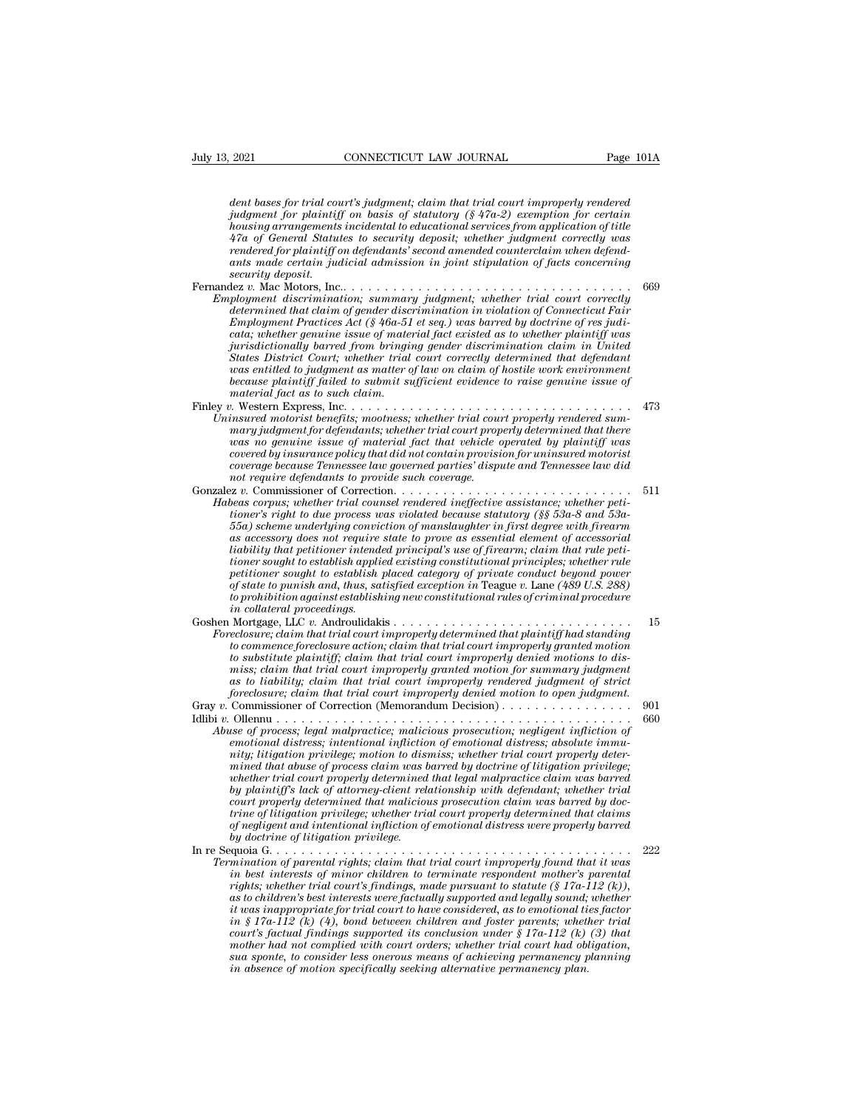*2021* **connecticutation connection** *Page 101A*<br>*dent bases for trial court's judgment; claim that trial court improperly rendered*<br>*judgment for plaintiff on basis of statutory (§ 47a-2) exemption for certain*<br>*bousi judgent for plays in CONNECTICUT LAW JOURNAL* Page 101A<br> *Judgment for plaintif on basis of statutory (§ 47a-2) exemption for certain*<br> *judgment for plaintiff on basis of statutory (§ 47a-2) exemption for certain*<br> *hous housing arrangements incluental to educational to educational to educational dent bases for trial court's judgment; claim that trial court improperly rendered judgment for plaintiff on basis of statutory (§ 47a-2) exempti* <sup>2021</sup> CONNECTICUT LAW JOURNAL Page 101A<br> *dent bases for trial court's judgment; claim that trial court improperly rendered*<br> *judgment for plaintiff on basis of statutory (§ 47a-2) exemption for certain*<br> *housing arrang rendered to asses for trial court's judgment; claim that trial court improperly rendered judgment for plaintiff on basis of statutory (§ 47a-2) exemption for certain housing arrangements incidental to educational services dent bases for trial court's judgment; claim that trial court improperly rendered judgment for plaintiff on basis of statutory* (§ 47a-2) *exemption for certain housing arrangements incidental to educational services security dent bases for trial complement for plaintiff consing arrangements*<br>*47a of General Staturendered for plaintiff cants made certain juge security deposit.*<br>*security deposit.*<br>*ex v. Mac Motors, Inc.*<br>*playment di* dentity about the main of paintiff on basis of statutory (§ 47a-2) exemption for certain housing arrangements incidental to educational services from application of title 47a of General Statutes to security deposit; whethe *Fragment jor planntyl on basis of statutory (§ 470-2) exemption for certain*<br> *housing arrangements incidental to elucational services from application of title*<br> *47a of General Statutes to security deposit; whether judg determined that claim is incluentation* of *auctational services from application of title*<br>  $47a$  of General Statutes to security deposit; whether judgment correctly was<br>
rendered for plaintiff on defendants' second amen *Figure 47d of General Statutes to security aeposit; whether judgment correctly was rendered for plaintiff on defendants' second amended counterclaim when defendants ants made certain judicial admission in joint stipulatio cataria made certain judicial admission in joint stipulation of facts concerning*<br> *cataring made certain judicial admission in joint stipulation of facts concerning*<br> *security deposit.*<br>  $\begin{array}{lll} \text{Re} \: v. \text{Mac Motors, Inc.} \ldots &$ ants maae certain juancial aamission in joint stipulation of Jacts concerning<br>iscurity deposit.<br>ployment discrimination; summary judgment; whether trial court correctly<br>determined that claim of gender discrimination in vio *States District Court; whether trial court correctly determined that defendant was wear the method in the increase wear wearstype ployment discrimination; summary judgment; whether trial court correctly determined that claim as matter of ender discrimination in violation of Connecticut Fair Employme determined that claim of gender discrimination in violation of Connecticut Fair*<br>*Employment Practices Act* (§ 46a-51 et seq.) was barred by doctrine of res judi-<br>cata; whether genuine issue of material fact existed as to *Finley v.* Western Express, Inc. . . . . . . . . . *Employment Practices Act* ( $g$  40a-51 et seq.) was oarrea by aoctrine of res juar-<br>cata; whether genuine issue of material fact existed as to whether plaintiff was<br>jurisdictionally barred from bringing gender discriminati *Unimisticitionally barred from bringing gender discrimination claim in United States District Court; whether trial court correctly determined that defendant was entitled to judgment as matter of law on claim of hostile wo mary interiorationally barrea from oringing genaer asscrimination claim in United*<br>Strates District Court; whether trial court correctly determined that defendant<br>was entitled to judgment as matter of law on claim of host *Mates District Court, whether trial court correctly aetermined that aegendant* was entitled to judgment as matter of law on claim of hostile work environment because plaintiff failed to submit sufficient evidence to raise *cocase plaintiff failed to submit sufficient evidence to raise genuine issue of because plaintiff failed to submit sufficient evidence to raise genuine issue of material fact as to such claim.*<br> *contain fact as to such c oecause plannty jauea to suomit sufficient evidence to raise genuine issue of*<br>*conterial fact as to such claim.*<br>*insured motorist benefits; mootness; whether trial court properly rendered summary judgment for defendants naterial jact as to such carm.*<br> *nothermal motorist benefits; mootness; whether trial cound mary judgment for defendants; whether trial court prop<br>
mary judgment for defendants; whether trial court prop<br>
vas no genuine i* Gonzalez *v.* Commissioner of Correction. . . . . . . . . . . . . . . . . . . . . . . . . . . . . <sup>511</sup> *Habeas corpusion and the fendants; whether trial court properly determined that there*<br> *Habeas covered by insurance policy that did not contain provision for uninsured motorist*<br> *Corpusion coverage because Tennessee law toorered by insurance policy that did not contain provision for uninsured motorist*<br>*toorange because Tennessee law governed parties' dispute and Tennessee law did<br>not require defendants to provide such coverage.*<br>*text Following the underlying convictional indition of material provision for uninsured motorist*<br> *Coverage because Tennessee law governed parties' dispute and Tennessee law did*<br> *not require defendants to provide such cover coverea oy insurance poiccy indi and not condain provision for uninsurea motorist*<br>coverage because Tennessee law governed parties' dispute and Tennessee law did<br>not require defendants to provide such coverage.<br>The access *coverage because 1 ennessee law governea parties aispute and 1 ennessee law and real to are are of Correction.*<br> *limitsioner of Correction.*<br> *lineas corpus; whether trial counsel rendered ineffective assistance; whether tioner sought to establish applied existing constitutional principles; whether rule petitioner sought to establish placed category of private conduct beyond power beas corpus; whether trad counsel rendered metjective assistance; whether peti-<br>tioner's right to due process was violated because statutory (§§ 53a-8 and 53a-<br>55a) scheme underlying conviction of manslaughter in first de tomer's right to due process was wolated because statutory (§§ 53a-8 and 53a-55a) scheme underlying conviction of manslaughter in first degree with firecarm as accessory does not require state to prove as essential elemen liability that petitioner intended principal's use of firearm; claim that rule petitioner sought to establish applied existing constitutional principles; whether rule petitioner sought to establish placed category of priv* as accessory aoes not require state to prove as essential element of accessorial<br>liability that petitioner intended principal's use of firearm; claim that rule petitioner sought to establish placed category of private cond *Foreclosure; claim that trial court implied existing constitutional principles; whether rule petitioner sought to establish placed category of private conduct beyond pover of state to punish and, thus, satisfied exception tomer sought to establish plane existing constitutional principles; whether rule*<br>petitioner sought to establish placed category of private conduct beyond power<br>of state to punish and, thus, satisfied exception in Teague *of state to punish and, thus, satisfied exception in Teague v. Lane (489 U.S. 288)*<br>to prohibition against establishing new constitutional rules of criminal procedure<br>in collateral proceedings.<br>Nortgage, LLC v. Androulida *miss; claim that trial court improperly granted motion for summary judgment as to prontotton against establishing new constitutional rules of criminal procedure*<br> *and collateral proceedings*<br> *accouries*<br> *accouries*<br> *accouries*<br> *accouries*<br> *closures* claim that trial court improperly determi *foreclosure; claim that trial court improperly determined that plaintiff had standing*<br>eclosure; claim that trial court improperly determined that plaintiff had standing<br>to commence foreclosure action; claim that trial co Gray *<sup>v</sup>*. Commissioner of Correction (Memorandum Decision) . . . . . . . . . . . . . . . . <sup>901</sup> Interesting that the matter in the commence foreclosure action; claim that trial court improperly granted motion<br>to substitute plaintiff; claim that trial court improperly denied motions to dis-<br>miss; claim that trial cour *Abuse is commence precussive action; carm mat trial court improperty granied motions to dismiss; claim that trial court improperty denied motions to dismiss; claim that trial court improperty granted motion for summary ju emotional distributional distress; calculation of emotional distress; distribution of emotional distress; distribution of emotional infligential motion of emotional distress; absolute immunity in the of process; legal mal nitss, calimitativi; claim that trial court improperly graniea motion for sammary jaugments* of scribability; claim that trial court improperly denied motion to open judgment.<br> *foreclosure; claim that trial court imprope m minimal trial court impropery renaered juayment of strict* foreclosure; claim that trial court improperly denied motion to open judgment.<br>  $\frac{1}{2}$  Commissioner of Correction (Memorandum Decision)................... *whether trial court properly determined that legal malpractice claim was barred by plaintiff's lack of attorney-client relationship with the set of process; legal malpractice; malicions prosecution; negligent infliction of emotional distress; intentional infliction of emotional distress; absolute imm court properly determined that malicious prosecution claim was barred by doctse of process; tegal matpractice; maticions prosecution; negligent infliction of*<br>emotional distress; intentional infliction of emotional distress; absolute immu-<br>mity; litigation privilege; motion to dismiss; whether tr *emotional distress; intentional infliction of emotional distress; absolute immunity; litigation privilege; motion to dismiss; whether trial court properly determined that legal malpractice claim was barred by doctrine of* mined that abuse of process claim was barred by doctrine of litigation privilege,<br>whether trial court properly determined that legal malpractice claim was barred<br>by plaintiff's lack of attorney-client relationship with def mined indicated that in reperly determined that legal malpractice claim was barrea by the<br>there trial out properly determined that legal malpractice claim was barred<br>by plaintiff's lack of attorney-client relationship with *Termination of parental rights; lack of a talcomorpology determined that magicality parameter rial court properly determined that malicious prosecution claim was barred by doctrine of litigation privilege, whether trial c in partitually is interest of autorney-cuent relationship with defendant; whether trial court properly determined that malicious prosecution chair was barred by doc-<br>trine of hitigation privilege; whether trial court prop rights; whether in indicate minitial court properly determined that claims*<br>*trial court privilege; whether trial court properly determined that claims*<br>*of negligent and intentional infliction of emotional distress were as the children mational infliction of emotional distress were properly barred* of regligent and intentional infliction of emotional distress were properly barred by doctrine of hitreation privilege.<br>
and details and deta *it was inappropriate for trial court to have considered, as to emotional ties factor in § 17a-112 (k) (4), bond between children and foster parents; whether trial court in the statual findings supported its court improperly found that it was*<br>*in best interests of minor children to terminate respondent mother's parental*<br>*in best interests of minor children to terminate respondent mination of parental rights; claim that trial court improperty found that it was*<br>in best interests of minor children to terminate respondent mother's parental<br>rights; whether trial court's findings, made pursuant to stat *in best interests of minor children to terminate respondent mother's parental* rights; whether trial court's findings, made pursuant to statute (§ 17a-112 (k)), as to children's best interests were factually supported an *inghts; whether trad court's findings, made pursuant to statute (§ 17a-1* as to children's best interests were factually supported and legally sound; it was inappropriate for trial court to have considered, as to emotiona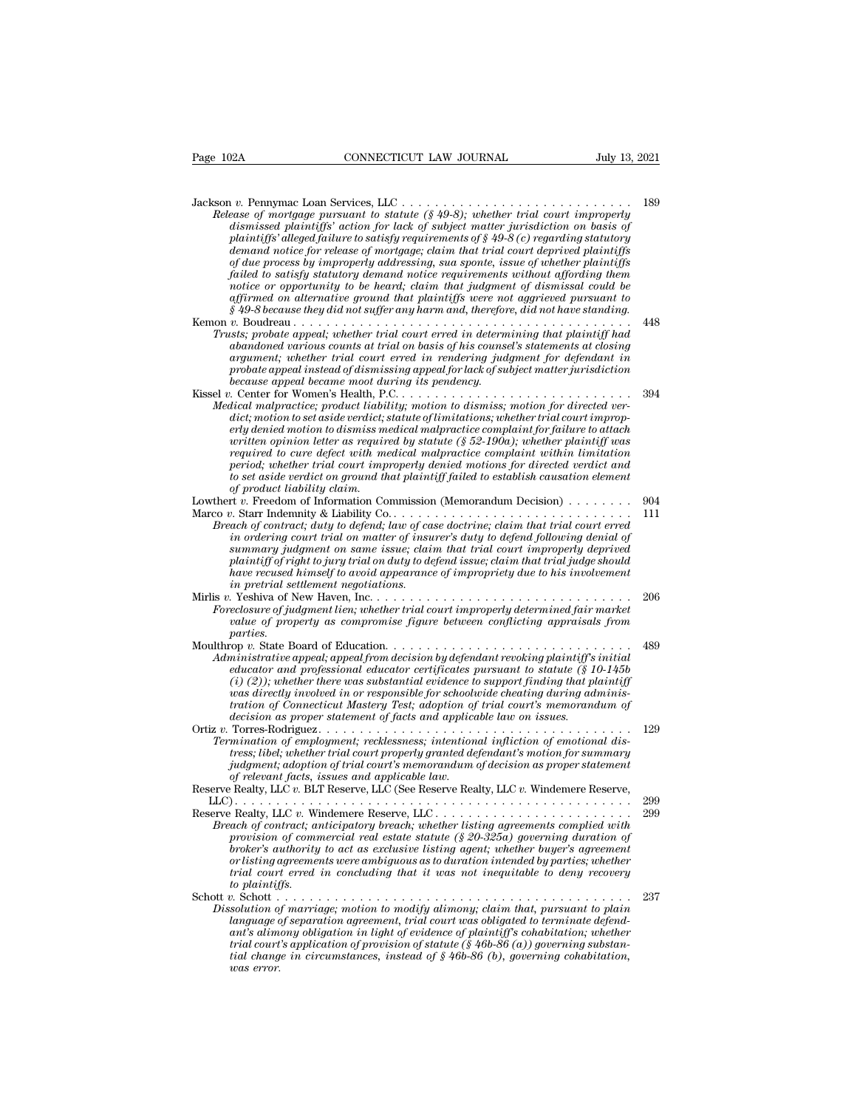| Page 102A                   | CONNECTICUT LAW JOURNAL                                                                                                                                                                                                                                                                                                                                                                                                                                                                                                                               | July 13, 2021 |
|-----------------------------|-------------------------------------------------------------------------------------------------------------------------------------------------------------------------------------------------------------------------------------------------------------------------------------------------------------------------------------------------------------------------------------------------------------------------------------------------------------------------------------------------------------------------------------------------------|---------------|
|                             |                                                                                                                                                                                                                                                                                                                                                                                                                                                                                                                                                       |               |
|                             | Release of mortgage pursuant to statute $(\frac{1}{2}49-8)$ ; whether trial court improperly<br>dismissed plaintiffs' action for lack of subject matter jurisdiction on basis of<br>plaintiffs' alleged failure to satisfy requirements of $\S 49-8$ (c) regarding statutory<br>demand notice for release of mortgage; claim that trial court deprived plaintiffs                                                                                                                                                                                     | 189           |
|                             | of due process by improperly addressing, sua sponte, issue of whether plaintiffs<br>failed to satisfy statutory demand notice requirements without affording them<br>notice or opportunity to be heard; claim that judgment of dismissal could be<br>affirmed on alternative ground that plaintiffs were not aggrieved pursuant to<br>$§$ 49-8 because they did not suffer any harm and, therefore, did not have standing.                                                                                                                            |               |
|                             | Trusts; probate appeal; whether trial court erred in determining that plaintiff had                                                                                                                                                                                                                                                                                                                                                                                                                                                                   | 448           |
|                             | abandoned various counts at trial on basis of his counsel's statements at closing<br>argument; whether trial court erred in rendering judgment for defendant in<br>probate appeal instead of dismissing appeal for lack of subject matter jurisdiction<br>because appeal became moot during its pendency.                                                                                                                                                                                                                                             |               |
|                             | Medical malpractice; product liability; motion to dismiss; motion for directed ver-<br>dict; motion to set aside verdict; statute of limitations; whether trial court improp-<br>erly denied motion to dismiss medical malpractice complaint for failure to attach                                                                                                                                                                                                                                                                                    | 394           |
| of product liability claim. | written opinion letter as required by statute (§ 52-190a); whether plaintiff was<br>required to cure defect with medical malpractice complaint within limitation<br>period; whether trial court improperly denied motions for directed verdict and<br>to set aside verdict on ground that plaintiff failed to establish causation element                                                                                                                                                                                                             |               |
|                             | Lowthert $v$ . Freedom of Information Commission (Memorandum Decision) $\ldots \ldots \ldots$                                                                                                                                                                                                                                                                                                                                                                                                                                                         | 904           |
|                             | Breach of contract; duty to defend; law of case doctrine; claim that trial court erred<br>in ordering court trial on matter of insurer's duty to defend following denial of<br>summary judgment on same issue; claim that trial court improperly deprived<br>plaintiff of right to jury trial on duty to defend issue; claim that trial judge should<br>have recused himself to avoid appearance of impropriety due to his involvement<br>in pretrial settlement negotiations.                                                                        | 111           |
| <i>parties.</i>             | Foreclosure of judgment lien; whether trial court improperly determined fair market<br>value of property as compromise figure between conflicting appraisals from                                                                                                                                                                                                                                                                                                                                                                                     | 206           |
|                             | Moulthrop v. State Board of Education<br>Administrative appeal, appeal from decision by defendant revoking plaintiff's initial<br>educator and professional educator certificates pursuant to statute $(\S 10-145b$<br>$(i)$ (2)); whether there was substantial evidence to support finding that plaintiff<br>was directly involved in or responsible for schoolwide cheating during adminis-<br>tration of Connecticut Mastery Test; adoption of trial court's memorandum of<br>decision as proper statement of facts and applicable law on issues. | 489           |
|                             | Termination of employment; recklessness; intentional infliction of emotional dis-<br>tress; libel; whether trial court properly granted defendant's motion for summary<br>judgment; adoption of trial court's memorandum of decision as proper statement<br>of relevant facts, issues and applicable law.<br>Reserve Realty, LLC v. BLT Reserve, LLC (See Reserve Realty, LLC v. Windemere Reserve,                                                                                                                                                   | 129           |
|                             |                                                                                                                                                                                                                                                                                                                                                                                                                                                                                                                                                       | 299           |
| to plaintiffs.              | Breach of contract; anticipatory breach; whether listing agreements complied with<br>provision of commercial real estate statute $(\frac{8}{8}20-325a)$ governing duration of<br>broker's authority to act as exclusive listing agent; whether buyer's agreement<br>or listing agreements were ambiguous as to duration intended by parties; whether<br>trial court erred in concluding that it was not inequitable to deny recovery                                                                                                                  | 299           |
| was error.                  | Dissolution of marriage; motion to modify alimony; claim that, pursuant to plain<br>language of separation agreement, trial court was obligated to terminate defend-<br>ant's alimony obligation in light of evidence of plaintiff's cohabitation; whether<br>trial court's application of provision of statute ( $\S$ 46b-86 (a)) governing substan-<br>tial change in circumstances, instead of $\S$ 46b-86 (b), governing cohabitation,                                                                                                            | 237           |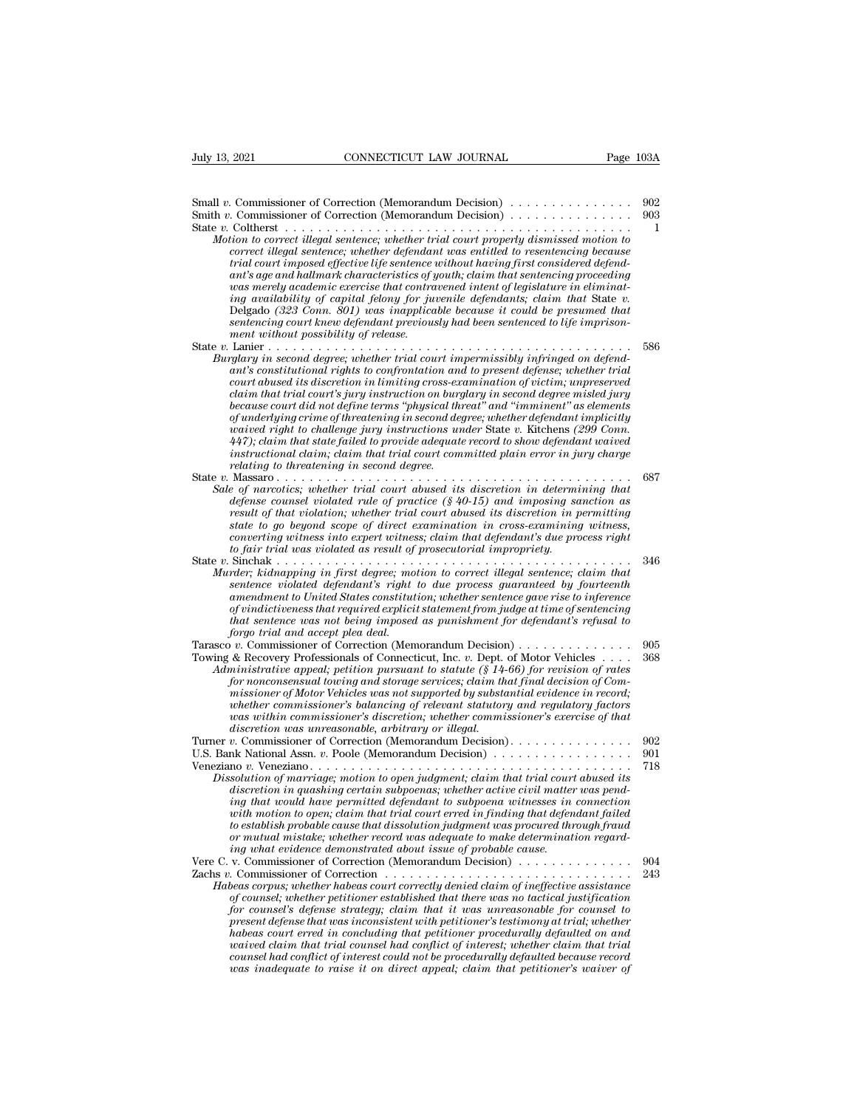Small *<sup>v</sup>*. Commissioner of Correction (Memorandum Decision) . . . . . . . . . . . . . . . <sup>902</sup> Small *v*. Commissioner of Correction (Memorandum Decision)<br>
Small *v*. Commissioner of Correction (Memorandum Decision)<br>
Smith *v*. Commissioner of Correction (Memorandum Decision)<br>
State *v*. Coltherst . . . . . . . . . State *v.* Commissioner of Correction (Memorandum Decision)<br>
Small *v.* Commissioner of Correction (Memorandum Decision)<br>
Smith *v.* Commissioner of Correction (Memorandum Decision)<br>
State *v.* Coltherst . . . . . . . . . 13, 2021 **CONNECTICUT LAW JOURNAL** Page 103A<br>
II v. Commissioner of Correction (Memorandum Decision)<br> *Motion to correct illegal sentence; whether trial court properly dismissed motion to*<br> *correct illegal sentence; wheth commissioner of Correction (Memorandum Decision)*<br> *commissioner of Correction (Memorandum Decision)*<br> *coltherst*<br> *correct illegal sentence; whether trial court properly dismissed motion to*<br> *correct illegal sentence; trial courries* of Correction (Memorandum Decision)<br> *trial courries courries* considered to consider the contract in to correct illegal sentence; whether trial court properly dismissed motion to correct illegal sentence; *a* Commissioner of Correction (Memorandum Decision)<br> *a* Commissioner of Correction (Memorandum Decision)<br> *antion to correct illegal sentence; whether trial court properly dismissed motion to*<br> *acreed illegal sentence; was merely academic for Correction (Memorandum Decision)*<br>*Motion to correct illegal sentence; whether trial court properly dismissed motion to correct illegal sentence; whether defendant was entitled to resentencing beca i* Commissioner of Correction (Memorandum Decision)<br> *iion to correct illegal sentence; whether trial court properly dismissed motion to*<br> *correct illegal sentence; whether defendant was entitled to resentencing because<br> strom to correct illegal sentence; whether trad court property dismissed motion to*<br>correct illegal sentence; whether defendant was entitled to resentencing because<br>trial court imposed effective life sentence without havi *correct ulegal sentence; whether defendar*<br> *trial court imposed effective life sentence ant's age and hallmark characteristics of g<br>
was merely academic exercise that contra<br>
ing availability of capital felony for ju<br>
De* rrat court imposed effective tife sentence without having first considered defendant<br>ant's age and hallmark characteristics of youth; claim that sentencing proceeding<br>was merely academic exercise that contravened intent of ant's age and hallmark characteristics of youth; claim that sentencing proceeding<br> *Burglary ing availability of capital felony for juvenile defendants; claim that State v.*<br>
Delgado (323 Conn. 801) was inapplicable becaus *and a merety academic exercise that contravened intent of legislature in etiminaling availability of capital felony for juvenile defendants; claim that State v.*<br>Delgado (323 Conn. 801) was inapplicable because it could b *com. 801) capital jelony for juvenue defendants; claim that State v*.<br>Delgado (323 Com. 801) was inapplicable because it could be presumed that<br>sentencing court knew defendant previously had been sentenced to life impri *claim that trial court souly was imappincable because it could be presumed indiventencing court knew defendant previously had been sentenced to life imprisonment without possibility of release.*<br>
Lanier .................. *because court did not define terms ''physical threat'' and ''imminent'' as elements of underlying crime of threatening in second degree; whether defendant implicitly waived right to challenge; whether trial court impermissibly infringed on defendant's constitutional rights to confrontation and to present defense; whether trial court abused its discretion in limiting cross-examination rglary in second degree; whether trial court impermissibly infringed on defendant's constitutional rights to confrontation and to present defense; whether trial court abused its discretion in limiting cross-examination of* ant's constitutional rights to confrontation and to present agense; whether trial<br>court abused its discretion in limiting cross-examination of victim; unpreserved<br>claim that trial court's jury instruction on burglary in se *relation to the distribution in limiting cross-examination of victim; unpreserved*<br>*claim that trial court's jury instruction on burglary in second degree misled jury*<br>*because court did not define terms "physical threat"* claim that trial court's jury instruction on ourgiary in second degree misled jury<br>because court did not define terms "physical threat" and "imminent" as elements<br>of underlying crime of threatening in second degree; whethe *Sale of narcotics; whether terms "physical threat" and "imminent" as elements*<br> *Sale of narching crime of threatening in second degree; whether defendant implicitly*<br> *waived right to challenge jury instructions under St definition in the challeng jury instructions under State v. Kitchens (299 Conn.*<br> *diaty*); claim that state failed to provide adequate record to show defendant waived<br>  $447$ ; claim that state failed to provide adequate r *result of that state failed to provide adequate record to show defendant waived*  $447$ ); claim that state failed to provide adequate record to show defendant waived instructional claim, claim that trial court committed p *state to go beyond scope of direct examination in cross-examining witness, convertional claim, claim that trial court committed plain error in jury charge*<br> *converting to threatening in second degree.*<br> *conformation in determining that*<br> *conformation; whether trial court abused its discretion to fair trial was violated as result of prosecutorial impropriety.* State *<sup>v</sup>*. Sinchak . . . . . . . . . . . . . . . . . . . . . . . . . . . . . . . . . . . . . . . . . . . <sup>346</sup> *Murder; kidnapping in first degree; motion to correct illegal sentence; cannel violated rule of practice (§40-15)* and imposing sanction as result of that violation; whether trial court abused its discretion in gromitting *selense counsel violated rule of practice* (8 40-15) and imposing sanction as<br>
result of that violation; whether trial court abused its discretion in permitting<br>
state to go beyond scope of direct examination in cross-exa *amendment of that violation; whether trial court abused its discretion in permitting*<br> *atate to go beyond scope of direct examination in cross-examining witness,*<br> *converting witness into expert witness;* claim that  $d$ *state to go beyond scope of direct examination in cross-examining witness,*<br>converting witness into expert witness; claim that defendant's due process right<br>to fair trial was violated as result of prosecutorial impropriet *that sentence was not being imposed as punishment for defendant's refusal to forgo trial and accept plea deal.* Tarasco *<sup>v</sup>*. Commissioner of Correction (Memorandum Decision) . . . . . . . . . . . . . . <sup>905</sup> martier; kanappring in jirst aegree; motion to correct utegat sentence; caarm that<br>sentence violated defendant's right to due process guaranteed by fourteenth<br>amendment to United States constitution; whether sentence gave *Administrative appearant s* right to all process guaranteed by journeenth aneadment to United States constitution; whether senterce gave rise to inference appear of primatistrative applicit statement from judge at time of *for nonconsensual towing and storage services; claim that final decision of Com-<br>missioner of primal and accept plead and memory in that sentence was not being imposed as punishment for defendant's refusal to<br>forgo trial missioner of Motor Vehicles was not being imposed as punishment for defendant's refusal to that sentence was not being imposed as punishment for defendant's refusal to forgo trial and accept plea deal.*<br> *v*. Commissioner *whether commissioner's balancing of relevant statutory and regulatory factors was within commissioner's discretion; whether commissioner's exercise of that discretion was unreasonable, arbitrary or illegal.* Turner *<sup>v</sup>*. Commissioner of Correction (Memorandum Decision). . . . . . . . . . . . . . . <sup>902</sup> Aaministrative appeai; petition pursuant to statute (8.14-00) for revision of rates<br>for nonconsensual towing and storage services; claim that final decision of Com-<br>missioner of Motor Vehicles was not supported by substant For montensiant butting and storage services, carm hat find decision of com-<br>missioner of Motor Vehicles was not supported by substantial evidence in record;<br>whether commissioner's balancing of relevant statutory and regul *Dissolution of marriage; motion of relation of relation of relation of stellancing of relation vasa within commissioner's discretion; whether commissioner's exercise of that discretion was unreasonable, arbitrary or illeg discretion in commissioner's discretion, whether commissioner's exercise of that*<br>*discretion was wireassoner's discretion, whether commissioner's exercise of that*<br>*discretion was unreasonable, arbitrary or illegal.*<br>*p. ing that would have permitted defendant to subpoena witnesses in connection with motion to open; claim that trial court erred in finding that defendant failed to establish probable cause that dissolution judgment was procured through fraud Or Mutual mistake; whether to pen judgment; claim that trial court abused its discretion in quashing certain subpoenas; whether active civil matter was pending that would have permitted defendant to subpoena witnesses in ing what evidence demonstrated about issue of probable cause.* Dissolution of marriage; motion to open juagment; ciarm that trial court abused its<br>discretion in quashing certain subpoenas; whether active civil matter was pend-<br>ing that would have permitted defendant to subpoena witne asservent in quasting certain subpoents; whether active civil matter was penaling that would have permitted defendant to subpoena withesses in connection with motion to open; claim that trial court erred in finding that de *Habeas corpus; claim that trial court erred in finding that dissolution is open; claim that trial correction*<br>the motion to open; claim that dissolution judgment was procured through fraud<br>or mutual mistake; whether recor *of counsel; whether exact that trial court errea in jinaing inal aejendani jaued*<br>to establish probable cause that dissolution judgment was procured through fraud<br>or mutual mistake; whether record was adequate to make det *for counsel material and the mether record was adequate to make determination regarding what evidence demonstrated about issue of probable cause...*<br> *ing what evidence demonstrated about issue of probable cause.......... present defense that was inconsistent defense that with what evidence demonstrated about issue of probable cause.*<br> *present commissioner of Correction (Memorandum Decision)*<br> *present defense that was court correctly den habeas court erred in concluding that petitioner procedurally defaulted on and waived claim that trial counsel had conflict of interest; whether claim that trial counsel had conflict of interest could not be procedurally defaulted because record wear or pus; whether habeas court correctly denied claim of ineffective assistance* of counsel, whether petitioner established that there was no tactical justification for counsel to form that it was unreasonable for coun